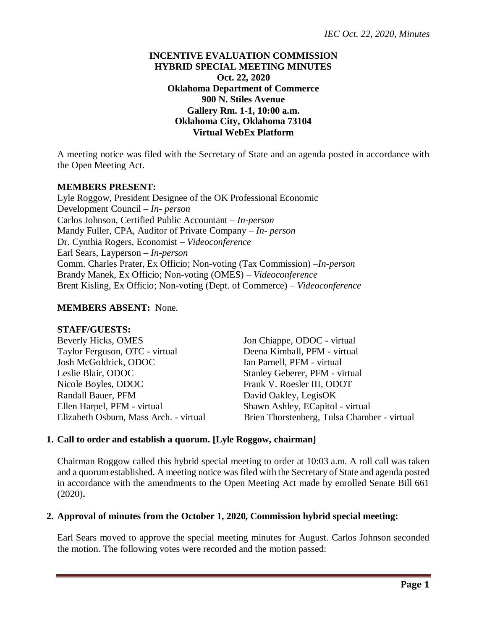# **INCENTIVE EVALUATION COMMISSION HYBRID SPECIAL MEETING MINUTES Oct. 22, 2020 Oklahoma Department of Commerce 900 N. Stiles Avenue Gallery Rm. 1-1, 10:00 a.m. Oklahoma City, Oklahoma 73104 Virtual WebEx Platform**

A meeting notice was filed with the Secretary of State and an agenda posted in accordance with the Open Meeting Act.

## **MEMBERS PRESENT:**

Lyle Roggow, President Designee of the OK Professional Economic Development Council – *In- person* Carlos Johnson, Certified Public Accountant – *In-person* Mandy Fuller, CPA, Auditor of Private Company – *In- person* Dr. Cynthia Rogers, Economist – *Videoconference* Earl Sears, Layperson – *In-person* Comm. Charles Prater, Ex Officio; Non-voting (Tax Commission) –*In-person* Brandy Manek, Ex Officio; Non-voting (OMES) – *Videoconference* Brent Kisling, Ex Officio; Non-voting (Dept. of Commerce) – *Videoconference*

## **MEMBERS ABSENT:** None.

#### **STAFF/GUESTS:**

| Beverly Hicks, OMES                    | Jon Chiappe, ODOC - virtual                 |
|----------------------------------------|---------------------------------------------|
| Taylor Ferguson, OTC - virtual         | Deena Kimball, PFM - virtual                |
| Josh McGoldrick, ODOC                  | Ian Parnell, PFM - virtual                  |
| Leslie Blair, ODOC                     | Stanley Geberer, PFM - virtual              |
| Nicole Boyles, ODOC                    | Frank V. Roesler III, ODOT                  |
| Randall Bauer, PFM                     | David Oakley, LegisOK                       |
| Ellen Harpel, PFM - virtual            | Shawn Ashley, ECapitol - virtual            |
| Elizabeth Osburn, Mass Arch. - virtual | Brien Thorstenberg, Tulsa Chamber - virtual |

## **1. Call to order and establish a quorum. [Lyle Roggow, chairman]**

Chairman Roggow called this hybrid special meeting to order at 10:03 a.m. A roll call was taken and a quorum established. A meeting notice was filed with the Secretary of State and agenda posted in accordance with the amendments to the Open Meeting Act made by enrolled Senate Bill 661 (2020)**.**

#### **2. Approval of minutes from the October 1, 2020, Commission hybrid special meeting:**

Earl Sears moved to approve the special meeting minutes for August. Carlos Johnson seconded the motion. The following votes were recorded and the motion passed: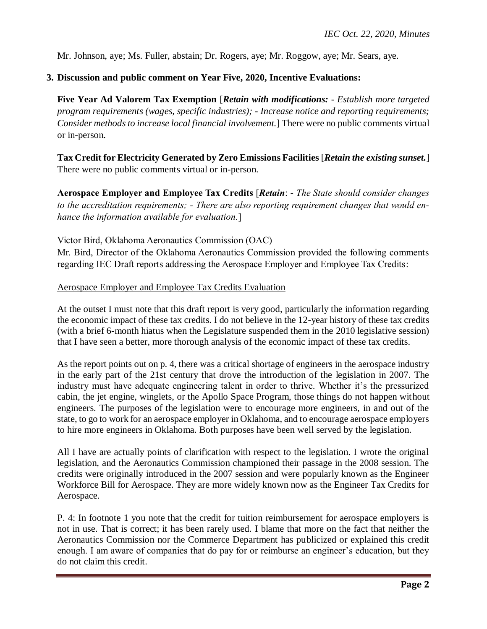Mr. Johnson, aye; Ms. Fuller, abstain; Dr. Rogers, aye; Mr. Roggow, aye; Mr. Sears, aye.

## **3. Discussion and public comment on Year Five, 2020, Incentive Evaluations:**

**Five Year Ad Valorem Tax Exemption** [*Retain with modifications: - Establish more targeted program requirements (wages, specific industries); - Increase notice and reporting requirements; Consider methods to increase local financial involvement.*] There were no public comments virtual or in-person.

**Tax Credit for Electricity Generated by Zero Emissions Facilities** [*Retain the existing sunset.*] There were no public comments virtual or in-person.

**Aerospace Employer and Employee Tax Credits** [*Retain*: - *The State should consider changes to the accreditation requirements; - There are also reporting requirement changes that would enhance the information available for evaluation.*]

Victor Bird, Oklahoma Aeronautics Commission (OAC)

Mr. Bird, Director of the Oklahoma Aeronautics Commission provided the following comments regarding IEC Draft reports addressing the Aerospace Employer and Employee Tax Credits:

Aerospace Employer and Employee Tax Credits Evaluation

At the outset I must note that this draft report is very good, particularly the information regarding the economic impact of these tax credits. I do not believe in the 12-year history of these tax credits (with a brief 6-month hiatus when the Legislature suspended them in the 2010 legislative session) that I have seen a better, more thorough analysis of the economic impact of these tax credits.

As the report points out on p. 4, there was a critical shortage of engineers in the aerospace industry in the early part of the 21st century that drove the introduction of the legislation in 2007. The industry must have adequate engineering talent in order to thrive. Whether it's the pressurized cabin, the jet engine, winglets, or the Apollo Space Program, those things do not happen without engineers. The purposes of the legislation were to encourage more engineers, in and out of the state, to go to work for an aerospace employer in Oklahoma, and to encourage aerospace employers to hire more engineers in Oklahoma. Both purposes have been well served by the legislation.

All I have are actually points of clarification with respect to the legislation. I wrote the original legislation, and the Aeronautics Commission championed their passage in the 2008 session. The credits were originally introduced in the 2007 session and were popularly known as the Engineer Workforce Bill for Aerospace. They are more widely known now as the Engineer Tax Credits for Aerospace.

P. 4: In footnote 1 you note that the credit for tuition reimbursement for aerospace employers is not in use. That is correct; it has been rarely used. I blame that more on the fact that neither the Aeronautics Commission nor the Commerce Department has publicized or explained this credit enough. I am aware of companies that do pay for or reimburse an engineer's education, but they do not claim this credit.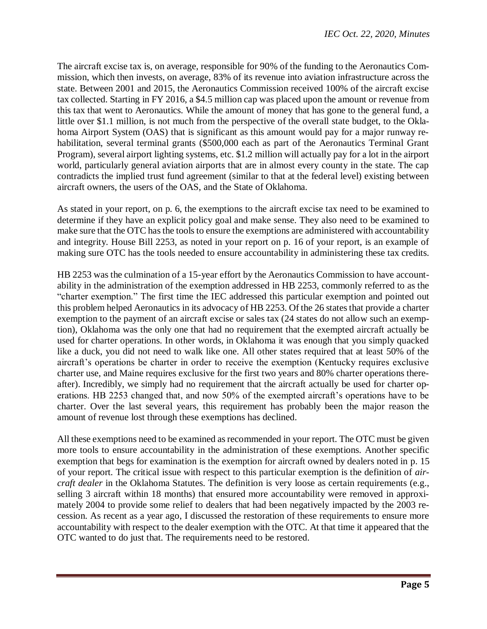The aircraft excise tax is, on average, responsible for 90% of the funding to the Aeronautics Commission, which then invests, on average, 83% of its revenue into aviation infrastructure across the state. Between 2001 and 2015, the Aeronautics Commission received 100% of the aircraft excise tax collected. Starting in FY 2016, a \$4.5 million cap was placed upon the amount or revenue from this tax that went to Aeronautics. While the amount of money that has gone to the general fund, a little over \$1.1 million, is not much from the perspective of the overall state budget, to the Oklahoma Airport System (OAS) that is significant as this amount would pay for a major runway rehabilitation, several terminal grants (\$500,000 each as part of the Aeronautics Terminal Grant Program), several airport lighting systems, etc. \$1.2 million will actually pay for a lot in the airport world, particularly general aviation airports that are in almost every county in the state. The cap contradicts the implied trust fund agreement (similar to that at the federal level) existing between aircraft owners, the users of the OAS, and the State of Oklahoma.

As stated in your report, on p. 6, the exemptions to the aircraft excise tax need to be examined to determine if they have an explicit policy goal and make sense. They also need to be examined to make sure that the OTC has the tools to ensure the exemptions are administered with accountability and integrity. House Bill 2253, as noted in your report on p. 16 of your report, is an example of making sure OTC has the tools needed to ensure accountability in administering these tax credits.

HB 2253 was the culmination of a 15-year effort by the Aeronautics Commission to have accountability in the administration of the exemption addressed in HB 2253, commonly referred to as the "charter exemption." The first time the IEC addressed this particular exemption and pointed out this problem helped Aeronautics in its advocacy of HB 2253. Of the 26 states that provide a charter exemption to the payment of an aircraft excise or sales tax (24 states do not allow such an exemption), Oklahoma was the only one that had no requirement that the exempted aircraft actually be used for charter operations. In other words, in Oklahoma it was enough that you simply quacked like a duck, you did not need to walk like one. All other states required that at least 50% of the aircraft's operations be charter in order to receive the exemption (Kentucky requires exclusive charter use, and Maine requires exclusive for the first two years and 80% charter operations thereafter). Incredibly, we simply had no requirement that the aircraft actually be used for charter operations. HB 2253 changed that, and now 50% of the exempted aircraft's operations have to be charter. Over the last several years, this requirement has probably been the major reason the amount of revenue lost through these exemptions has declined.

All these exemptions need to be examined as recommended in your report. The OTC must be given more tools to ensure accountability in the administration of these exemptions. Another specific exemption that begs for examination is the exemption for aircraft owned by dealers noted in p. 15 of your report. The critical issue with respect to this particular exemption is the definition of *aircraft dealer* in the Oklahoma Statutes. The definition is very loose as certain requirements (e.g., selling 3 aircraft within 18 months) that ensured more accountability were removed in approximately 2004 to provide some relief to dealers that had been negatively impacted by the 2003 recession. As recent as a year ago, I discussed the restoration of these requirements to ensure more accountability with respect to the dealer exemption with the OTC. At that time it appeared that the OTC wanted to do just that. The requirements need to be restored.